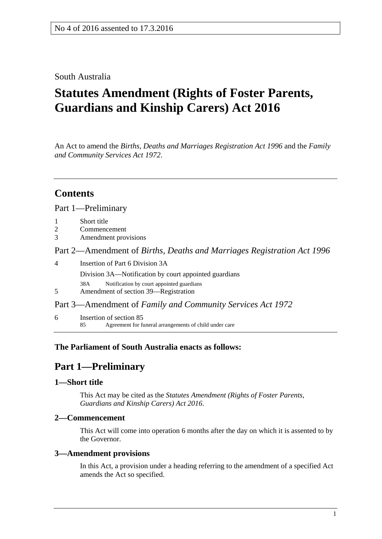### South Australia

# **Statutes Amendment (Rights of Foster Parents, Guardians and Kinship Carers) Act 2016**

An Act to amend the *[Births, Deaths and Marriages Registration Act](http://www.legislation.sa.gov.au/index.aspx?action=legref&type=act&legtitle=Births%20Deaths%20and%20Marriages%20Registration%20Act%201996) 1996* and the *[Family](http://www.legislation.sa.gov.au/index.aspx?action=legref&type=act&legtitle=Family%20and%20Community%20Services%20Act%201972)  [and Community Services Act](http://www.legislation.sa.gov.au/index.aspx?action=legref&type=act&legtitle=Family%20and%20Community%20Services%20Act%201972) 1972*.

# **Contents**

#### Part [1—Preliminary](#page-0-0)

- 2 [Commencement](#page-0-2)
- 3 [Amendment provisions](#page-0-3)

Part 2—Amendment of *[Births, Deaths and Marriages Registration Act](#page-1-0) 1996*

4 [Insertion of Part 6 Division 3A](#page-1-1) Division 3A—Notification by court appointed guardians 38A Notification by court appointed guardians 5 [Amendment of section 39—Registration](#page-1-2) Part 3—Amendment of *[Family and Community Services Act](#page-2-0) 1972*

6 [Insertion of section 85](#page-2-1) 85 Agreement for funeral arrangements of child under care

### <span id="page-0-0"></span>**The Parliament of South Australia enacts as follows:**

# **Part 1—Preliminary**

#### <span id="page-0-1"></span>**1—Short title**

This Act may be cited as the *Statutes Amendment (Rights of Foster Parents, Guardians and Kinship Carers) Act 2016*.

#### <span id="page-0-2"></span>**2—Commencement**

This Act will come into operation 6 months after the day on which it is assented to by the Governor.

#### <span id="page-0-3"></span>**3—Amendment provisions**

In this Act, a provision under a heading referring to the amendment of a specified Act amends the Act so specified.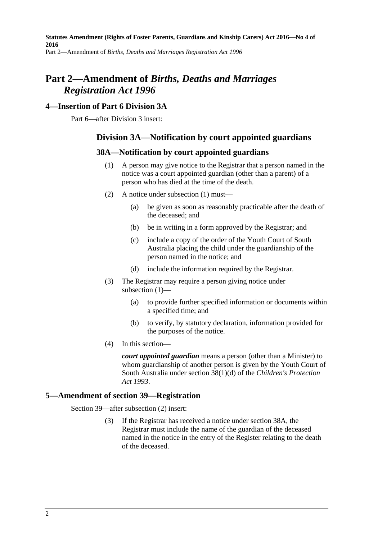# <span id="page-1-0"></span>**Part 2—Amendment of** *Births, Deaths and Marriages Registration Act 1996*

### <span id="page-1-1"></span>**4—Insertion of Part 6 Division 3A**

<span id="page-1-3"></span>Part 6—after Division 3 insert:

### **Division 3A—Notification by court appointed guardians**

### **38A—Notification by court appointed guardians**

- (1) A person may give notice to the Registrar that a person named in the notice was a court appointed guardian (other than a parent) of a person who has died at the time of the death.
- (2) A notice under [subsection](#page-1-3) (1) must—
	- (a) be given as soon as reasonably practicable after the death of the deceased; and
	- (b) be in writing in a form approved by the Registrar; and
	- (c) include a copy of the order of the Youth Court of South Australia placing the child under the guardianship of the person named in the notice; and
	- (d) include the information required by the Registrar.
- (3) The Registrar may require a person giving notice under [subsection](#page-1-3) (1)—
	- (a) to provide further specified information or documents within a specified time; and
	- (b) to verify, by statutory declaration, information provided for the purposes of the notice.
- (4) In this section—

*court appointed guardian* means a person (other than a Minister) to whom guardianship of another person is given by the Youth Court of South Australia under section 38(1)(d) of the *[Children's Protection](http://www.legislation.sa.gov.au/index.aspx?action=legref&type=act&legtitle=Childrens%20Protection%20Act%201993)  Act [1993](http://www.legislation.sa.gov.au/index.aspx?action=legref&type=act&legtitle=Childrens%20Protection%20Act%201993)*.

### <span id="page-1-2"></span>**5—Amendment of section 39—Registration**

Section 39—after subsection (2) insert:

(3) If the Registrar has received a notice under section 38A, the Registrar must include the name of the guardian of the deceased named in the notice in the entry of the Register relating to the death of the deceased.